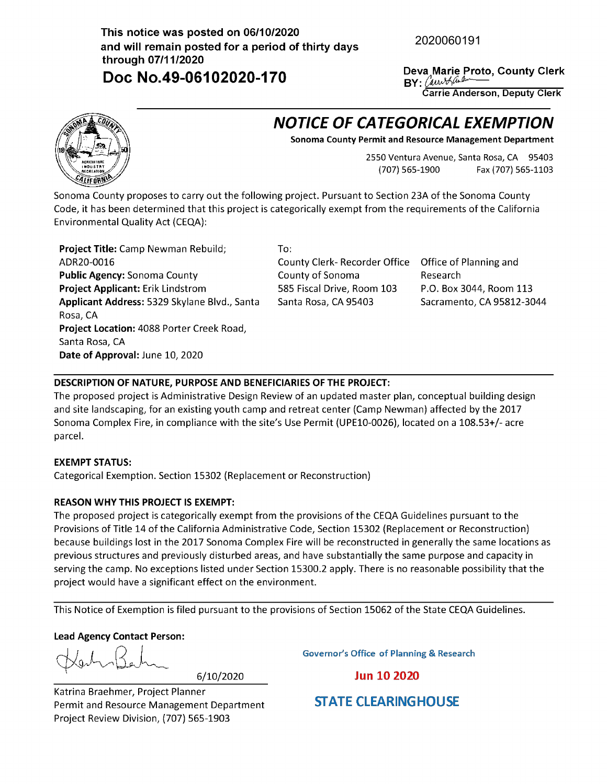## **This notice was posted on 06/10/2020 and will remain posted for a period of thirty days through 07/11/2020**

2020060191

**Doc No.49-06102020-170 Deva Marie Proto, County Clerk**   $BY: (univ\sqrt{q}n)$ 

**Car r ie Anderson, Deputy Clerk** 



# **NOTICE OF CATEGORICAL EXEMPTION**

**Sonoma County Permit and Resource Management Department** 

2550 Ventura Avenue, Santa Rosa, CA 95403 (707) 565-1900 Fax (707) 565-1103

Sonoma County proposes to carry out the following project. Pursuant to Section 23A of the Sonoma County Code, it has been determined that this project is categorically exempt from the requirements of the California Environmental Quality Act {CEQA):

**Project Title:** Camp Newman Rebuild; ADR20-0016 **Public Agency:** Sonoma County **Project Applicant:** Erik Lindstrom **Applicant Address:** 5329 Skylane Blvd., Santa Rosa, CA **Project Location:** 4088 Porter Creek Road, Santa Rosa, CA **Date of Approval:** June 10, 2020

To:

County Clerk- Recorder Office County of Sonoma 585 Fiscal Drive, Room 103 Santa Rosa, CA 95403

Office of Planning and Research P.O. Box 3044, Room 113 Sacramento, CA 95812-3044

### **DESCRIPTION OF NATURE, PURPOSE AND BENEFICIARIES OF THE PROJECT:**

The proposed project is Administrative Design Review of an updated master plan, conceptual building design and site landscaping, for an existing youth camp and retreat center {Camp Newman) affected by the 2017 Sonoma Complex Fire, in compliance with the site's Use Permit {UPEl0-0026), located on a 108.53+/- acre parcel.

#### **EXEMPT STATUS:**

Categorical Exemption. Section 15302 {Replacement or Reconstruction)

#### **REASON WHY THIS PROJECT IS EXEMPT:**

The proposed project is categorically exempt from the provisions of the CEQA Guidelines pursuant to the Provisions of Title 14 of the California Administrative Code, Section 15302 {Replacement or Reconstruction) because buildings lost in the 2017 Sonoma Complex Fire will be reconstructed in generally the same locations as previous structures and previously disturbed areas, and have substantially the same purpose and capacity in serving the camp. No exceptions listed under Section 15300.2 apply. There is no reasonable possibility that the project would have a significant effect on the environment.

This Notice of Exemption is filed pursuant to the provisions of Section 15062 of the State CEQA Guidelines.

**Lead Agency Contact Person:** 

~~L 6/10/2020

**Governor's Office of Planning & Research** 

**Jun 10 2020** 

**STATE CLEARINGHOUSE** 

Katrina Braehmer, Project Planner Permit and Resource Management Department Project Review Division, {707) 565-1903